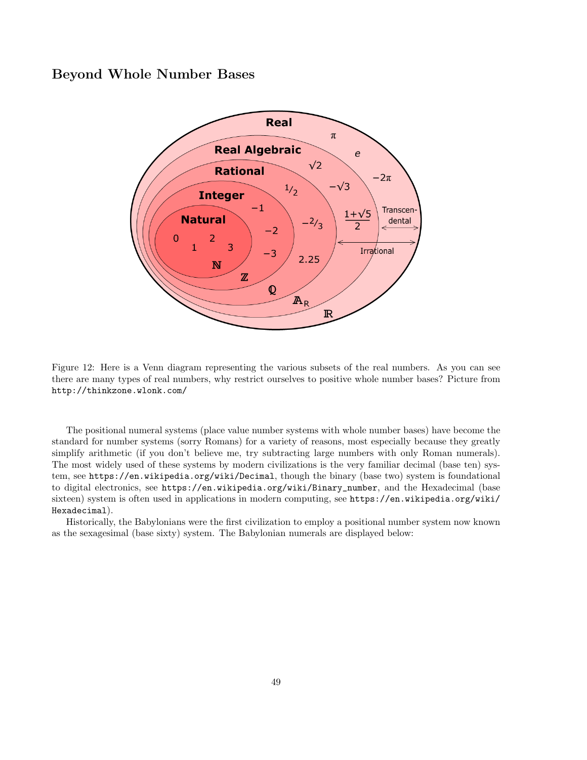## Beyond Whole Number Bases



Figure 12: Here is a Venn diagram representing the various subsets of the real numbers. As you can see there are many types of real numbers, why restrict ourselves to positive whole number bases? Picture from http://thinkzone.wlonk.com/

The positional numeral systems (place value number systems with whole number bases) have become the standard for number systems (sorry Romans) for a variety of reasons, most especially because they greatly simplify arithmetic (if you don't believe me, try subtracting large numbers with only Roman numerals). The most widely used of these systems by modern civilizations is the very familiar decimal (base ten) system, see https://en.wikipedia.org/wiki/Decimal, though the binary (base two) system is foundational to digital electronics, see https://en.wikipedia.org/wiki/Binary\_number, and the Hexadecimal (base sixteen) system is often used in applications in modern computing, see https://en.wikipedia.org/wiki/ Hexadecimal).

Historically, the Babylonians were the first civilization to employ a positional number system now known as the sexagesimal (base sixty) system. The Babylonian numerals are displayed below: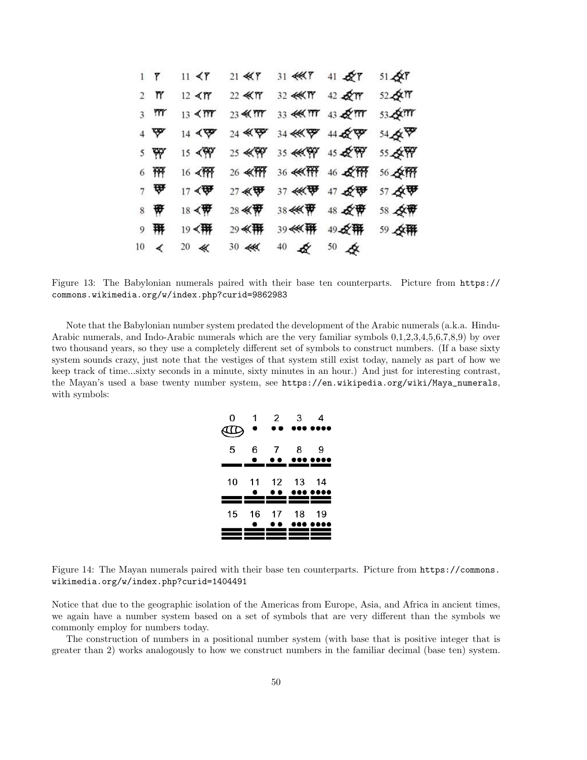| $1 \mathsf{Y}$  | $11 \leq T$                                |       | 21 KY 31 KKY 41 22 7 51 22                                                |       |
|-----------------|--------------------------------------------|-------|---------------------------------------------------------------------------|-------|
| $2 \pi$         |                                            |       | 12 <p +="" 22="" 32="" 42="" 52="" 52<="" <<p="" td="" x=""><td></td></p> |       |
| $3 \text{ m}$   | $13 \leq m$                                |       | 23 44 MY 33 444 MY 43 22 MY 53 22 MY                                      |       |
| $4 \times$      | $14 \leq 10$                               |       |                                                                           |       |
| 5 PP            | $15 \leq$                                  |       |                                                                           |       |
| 6 W             | $16 \leq m$                                |       | 26 《邢 36 《研 46 《开 56 《研                                                   |       |
| $7 \frac{1}{2}$ | $17 \leq 1$                                |       | 27 《甲 37 《《甲 47 《零 57 《甲                                                  |       |
| 8 带             | 18 $\triangleleft$ $\overline{\mathbf{w}}$ |       | 28 《 帮 38 《 ( 帮 48 《 安 带                                                  | 58 众母 |
|                 | 19<再                                       | 29 《帮 |                                                                           |       |
| $10 \leq$       | 20 <                                       | 30 44 | $40 \times 50 \times$                                                     |       |

Figure 13: The Babylonian numerals paired with their base ten counterparts. Picture from https:// commons.wikimedia.org/w/index.php?curid=9862983

Note that the Babylonian number system predated the development of the Arabic numerals (a.k.a. Hindu-Arabic numerals, and Indo-Arabic numerals which are the very familiar symbols 0,1,2,3,4,5,6,7,8,9) by over two thousand years, so they use a completely different set of symbols to construct numbers. (If a base sixty system sounds crazy, just note that the vestiges of that system still exist today, namely as part of how we keep track of time...sixty seconds in a minute, sixty minutes in an hour.) And just for interesting contrast, the Mayan's used a base twenty number system, see https://en.wikipedia.org/wiki/Maya\_numerals, with symbols:

| 0  | 1<br>$\bullet$ |           | 2 3         |  |
|----|----------------|-----------|-------------|--|
| 5  | 6              | $\bullet$ | 7 8 9       |  |
| 10 |                |           | 11 12 13 14 |  |
| 15 |                |           | 16 17 18 19 |  |
|    |                |           |             |  |

Figure 14: The Mayan numerals paired with their base ten counterparts. Picture from https://commons. wikimedia.org/w/index.php?curid=1404491

Notice that due to the geographic isolation of the Americas from Europe, Asia, and Africa in ancient times, we again have a number system based on a set of symbols that are very different than the symbols we commonly employ for numbers today.

The construction of numbers in a positional number system (with base that is positive integer that is greater than 2) works analogously to how we construct numbers in the familiar decimal (base ten) system.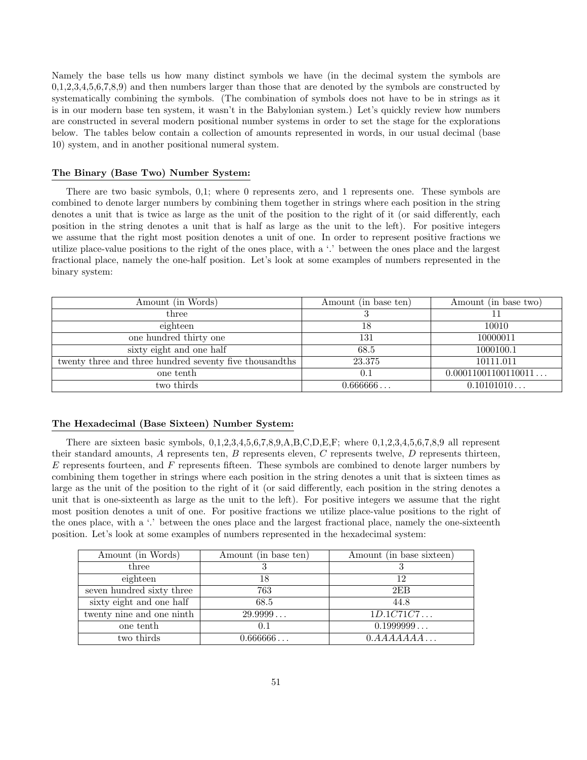Namely the base tells us how many distinct symbols we have (in the decimal system the symbols are 0,1,2,3,4,5,6,7,8,9) and then numbers larger than those that are denoted by the symbols are constructed by systematically combining the symbols. (The combination of symbols does not have to be in strings as it is in our modern base ten system, it wasn't in the Babylonian system.) Let's quickly review how numbers are constructed in several modern positional number systems in order to set the stage for the explorations below. The tables below contain a collection of amounts represented in words, in our usual decimal (base 10) system, and in another positional numeral system.

## The Binary (Base Two) Number System:

There are two basic symbols, 0,1; where 0 represents zero, and 1 represents one. These symbols are combined to denote larger numbers by combining them together in strings where each position in the string denotes a unit that is twice as large as the unit of the position to the right of it (or said differently, each position in the string denotes a unit that is half as large as the unit to the left). For positive integers we assume that the right most position denotes a unit of one. In order to represent positive fractions we utilize place-value positions to the right of the ones place, with a '.' between the ones place and the largest fractional place, namely the one-half position. Let's look at some examples of numbers represented in the binary system:

| Amount (in Words)                                       | Amount (in base ten) | Amount (in base two) |
|---------------------------------------------------------|----------------------|----------------------|
| three                                                   |                      |                      |
| eighteen                                                | 18                   | 10010                |
| one hundred thirty one                                  | 131                  | 10000011             |
| sixty eight and one half                                | 68.5                 | 1000100.1            |
| twenty three and three hundred seventy five thousandths | 23.375               | 10111.011            |
| one tenth                                               | 0.1                  | 0.00011001100110011  |
| two thirds                                              | 0.666666             | 0.10101010           |

## The Hexadecimal (Base Sixteen) Number System:

There are sixteen basic symbols,  $0,1,2,3,4,5,6,7,8,9,A,B,C,D,E,F$ ; where  $0,1,2,3,4,5,6,7,8,9$  all represent their standard amounts,  $A$  represents ten,  $B$  represents eleven,  $C$  represents twelve,  $D$  represents thirteen,  $E$  represents fourteen, and  $F$  represents fifteen. These symbols are combined to denote larger numbers by combining them together in strings where each position in the string denotes a unit that is sixteen times as large as the unit of the position to the right of it (or said differently, each position in the string denotes a unit that is one-sixteenth as large as the unit to the left). For positive integers we assume that the right most position denotes a unit of one. For positive fractions we utilize place-value positions to the right of the ones place, with a '.' between the ones place and the largest fractional place, namely the one-sixteenth position. Let's look at some examples of numbers represented in the hexadecimal system:

| Amount (in Words)         | Amount (in base ten) | Amount (in base sixteen) |
|---------------------------|----------------------|--------------------------|
| three                     |                      |                          |
| eighteen                  | 18                   | 12                       |
| seven hundred sixty three | 763                  | 2EB                      |
| sixty eight and one half  | 68.5                 | 44.8                     |
| twenty nine and one ninth | 29.9999              | 1D.1C71C7                |
| one tenth                 | 0.1                  | 0.19999999               |
| two thirds                | 0.666666             | 0.4444444                |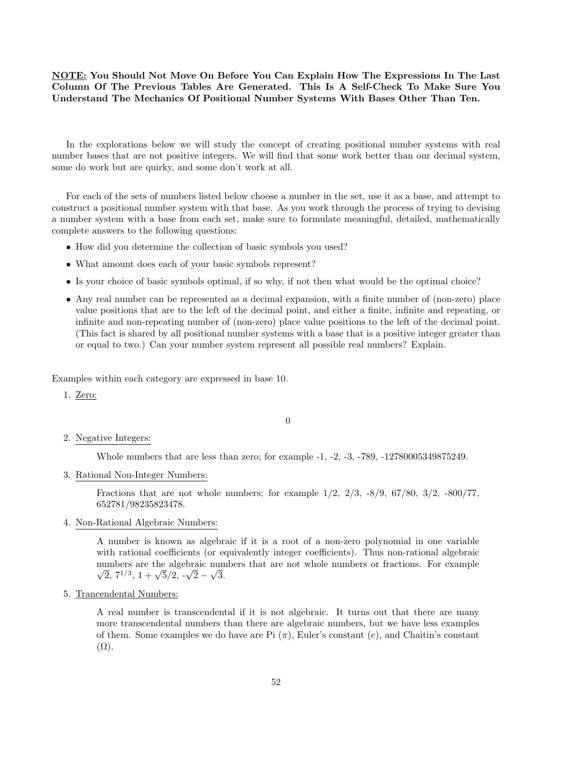NOTE: You Should Not Move On Before You Can Explain How The Expressions In The Last Column Of The Previous Tables Are Generated. This Is A Self-Check To Make Sure You Understand The Mechanics Of Positional Number Systems With Bases Other Than Ten.

In the explorations below we will study the concept of creating positional number systems with real number bases that are not positive integers. We will find that some work better than our decimal system, some do work but are quirky, and some don't work at all.

For each of the sets of numbers listed below choose a number in the set, use it as a base, and attempt to construct a positional number system with that base. As you work through the process of trying to devising a number system with a base from each set, make sure to formulate meaningful, detailed, mathematically complete answers to the following questions:

- How did you determine the collection of basic symbols you used?
- What amount does each of your basic symbols represent?
- Is your choice of basic symbols optimal, if so why, if not then what would be the optimal choice?
- Any real number can be represented as a decimal expansion, with a finite number of (non-zero) place value positions that are to the left of the decimal point, and either a finite, infinite and repeating, or infinite and non-repeating number of (non-zero) place value positions to the left of the decimal point. (This fact is shared by all positional number systems with a base that is a positive integer greater than or equal to two.) Can your number system represent all possible real numbers? Explain.

Examples within each category are expressed in base 10.

1. Zero:

0

2. Negative Integers:

Whole numbers that are less than zero; for example -1, -2, -3, -789, -12780005349875249.

3. Rational Non-Integer Numbers:

Fractions that are not whole numbers; for example  $1/2$ ,  $2/3$ ,  $-8/9$ ,  $67/80$ ,  $3/2$ ,  $-800/77$ , 652781/98235823478.

4. Non-Rational Algebraic Numbers:

A number is known as algebraic if it is a root of a non-zero polynomial in one variable with rational coefficients (or equivalently integer coefficients). Thus non-rational algebraic numbers are the algebraic numbers that are not whole numbers or fractions. For example moers are the algebraic nun<br>  $\sqrt{2}$ ,  $7^{1/3}$ ,  $1 + \sqrt{5}/2$ ,  $-\sqrt{2} - \sqrt{3}$ .

5. Trancendental Numbers:

A real number is transcendental if it is not algebraic. It turns out that there are many more transcendental numbers than there are algebraic numbers, but we have less examples of them. Some examples we do have are Pi  $(\pi)$ , Euler's constant  $(e)$ , and Chaitin's constant  $(\Omega)$ .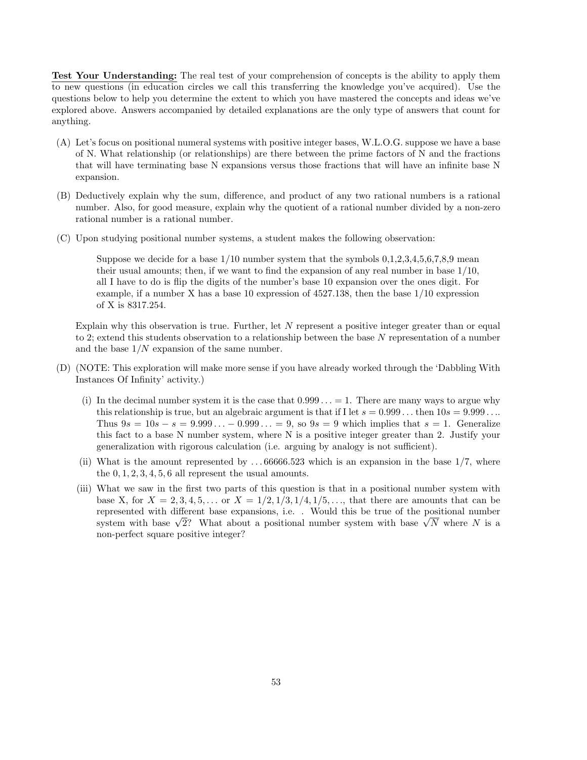Test Your Understanding: The real test of your comprehension of concepts is the ability to apply them to new questions (in education circles we call this transferring the knowledge you've acquired). Use the questions below to help you determine the extent to which you have mastered the concepts and ideas we've explored above. Answers accompanied by detailed explanations are the only type of answers that count for anything.

- (A) Let's focus on positional numeral systems with positive integer bases, W.L.O.G. suppose we have a base of N. What relationship (or relationships) are there between the prime factors of N and the fractions that will have terminating base N expansions versus those fractions that will have an infinite base N expansion.
- (B) Deductively explain why the sum, difference, and product of any two rational numbers is a rational number. Also, for good measure, explain why the quotient of a rational number divided by a non-zero rational number is a rational number.
- (C) Upon studying positional number systems, a student makes the following observation:

Suppose we decide for a base  $1/10$  number system that the symbols  $0,1,2,3,4,5,6,7,8,9$  mean their usual amounts; then, if we want to find the expansion of any real number in base  $1/10$ , all I have to do is flip the digits of the number's base 10 expansion over the ones digit. For example, if a number X has a base 10 expression of 4527.138, then the base 1/10 expression of X is 8317.254.

Explain why this observation is true. Further, let N represent a positive integer greater than or equal to 2; extend this students observation to a relationship between the base N representation of a number and the base  $1/N$  expansion of the same number.

- (D) (NOTE: This exploration will make more sense if you have already worked through the 'Dabbling With Instances Of Infinity' activity.)
	- (i) In the decimal number system it is the case that  $0.999... = 1$ . There are many ways to argue why this relationship is true, but an algebraic argument is that if I let  $s = 0.999...$  then  $10s = 9.999...$ Thus  $9s = 10s - s = 9.999... - 0.999... = 9$ , so  $9s = 9$  which implies that  $s = 1$ . Generalize this fact to a base N number system, where N is a positive integer greater than 2. Justify your generalization with rigorous calculation (i.e. arguing by analogy is not sufficient).
	- (ii) What is the amount represented by  $\dots$  66666.523 which is an expansion in the base  $1/7$ , where the 0, 1, 2, 3, 4, 5, 6 all represent the usual amounts.
	- (iii) What we saw in the first two parts of this question is that in a positional number system with base X, for  $X = 2, 3, 4, 5, \ldots$  or  $X = 1/2, 1/3, 1/4, 1/5, \ldots$ , that there are amounts that can be represented with different base expansions, i.e. . Would this be true of the positional number represented with different base expansions, i.e. would this be true of the positional number<br>system with base  $\sqrt{2}$ ? What about a positional number system with base  $\sqrt{N}$  where N is a non-perfect square positive integer?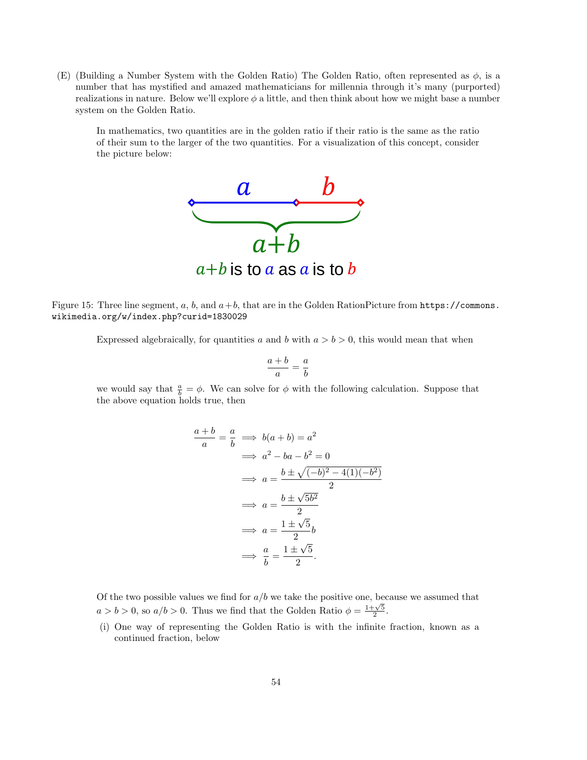(E) (Building a Number System with the Golden Ratio) The Golden Ratio, often represented as  $\phi$ , is a number that has mystified and amazed mathematicians for millennia through it's many (purported) realizations in nature. Below we'll explore  $\phi$  a little, and then think about how we might base a number system on the Golden Ratio.

In mathematics, two quantities are in the golden ratio if their ratio is the same as the ratio of their sum to the larger of the two quantities. For a visualization of this concept, consider the picture below:



Figure 15: Three line segment,  $a, b$ , and  $a+b$ , that are in the Golden RationPicture from https://commons. wikimedia.org/w/index.php?curid=1830029

Expressed algebraically, for quantities a and b with  $a > b > 0$ , this would mean that when

$$
\frac{a+b}{a} = \frac{a}{b}
$$

we would say that  $\frac{a}{b} = \phi$ . We can solve for  $\phi$  with the following calculation. Suppose that the above equation holds true, then

$$
\frac{a+b}{a} = \frac{a}{b} \implies b(a+b) = a^2
$$
  
\n
$$
\implies a^2 - ba - b^2 = 0
$$
  
\n
$$
\implies a = \frac{b \pm \sqrt{(-b)^2 - 4(1)(-b^2)}}{2}
$$
  
\n
$$
\implies a = \frac{b \pm \sqrt{5b^2}}{2}
$$
  
\n
$$
\implies a = \frac{1 \pm \sqrt{5}}{2}b
$$
  
\n
$$
\implies \frac{a}{b} = \frac{1 \pm \sqrt{5}}{2}.
$$

Of the two possible values we find for  $a/b$  we take the positive one, because we assumed that  $a > b > 0$ , so  $a/b > 0$ . Thus we find that the Golden Ratio  $\phi = \frac{1+\sqrt{5}}{2}$ .

(i) One way of representing the Golden Ratio is with the infinite fraction, known as a continued fraction, below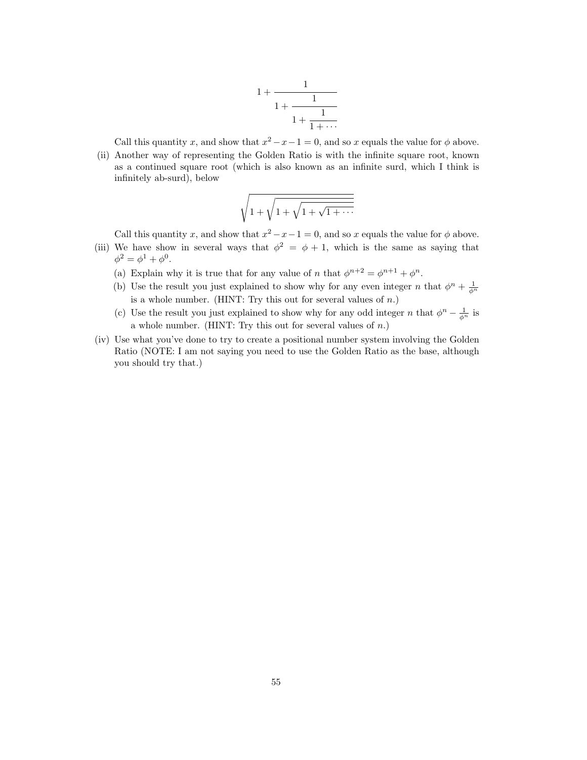$$
1+\cfrac{1}{1+\cfrac{1}{1+\cfrac{1}{1+\cdots}}}
$$

Call this quantity x, and show that  $x^2 - x - 1 = 0$ , and so x equals the value for  $\phi$  above.

(ii) Another way of representing the Golden Ratio is with the infinite square root, known as a continued square root (which is also known as an infinite surd, which I think is infinitely ab-surd), below

$$
\sqrt{1+\sqrt{1+\sqrt{1+\sqrt{1+\cdots}}}}
$$

Call this quantity x, and show that  $x^2 - x - 1 = 0$ , and so x equals the value for  $\phi$  above.

- (iii) We have show in several ways that  $\phi^2 = \phi + 1$ , which is the same as saying that  $\phi^2 = \phi^1 + \phi^0.$ 
	- (a) Explain why it is true that for any value of n that  $\phi^{n+2} = \phi^{n+1} + \phi^n$ .
	- (b) Use the result you just explained to show why for any even integer n that  $\phi^n + \frac{1}{\phi^n}$ is a whole number. (HINT: Try this out for several values of  $n$ .)
	- (c) Use the result you just explained to show why for any odd integer n that  $\phi^{n} \frac{1}{\phi^{n}}$  is a whole number. (HINT: Try this out for several values of  $n$ .)
- (iv) Use what you've done to try to create a positional number system involving the Golden Ratio (NOTE: I am not saying you need to use the Golden Ratio as the base, although you should try that.)